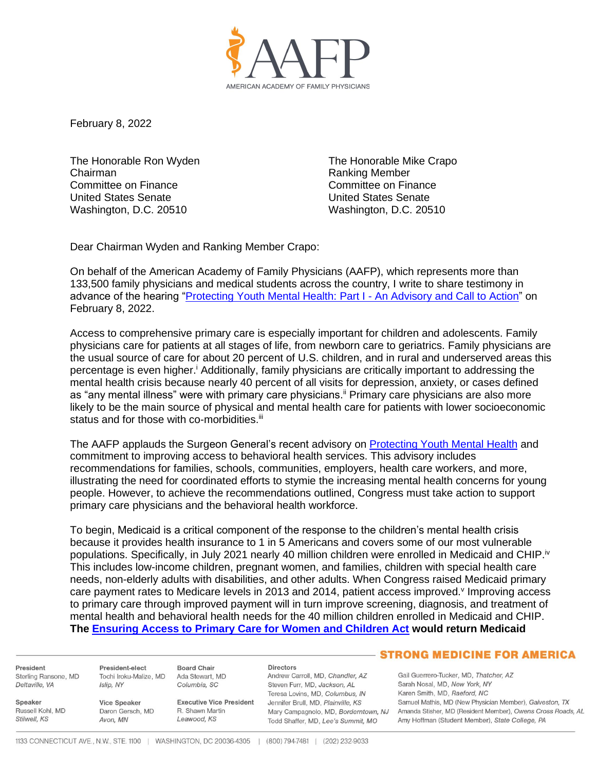

February 8, 2022

The Honorable Ron Wyden Chairman Committee on Finance United States Senate Washington, D.C. 20510

The Honorable Mike Crapo Ranking Member Committee on Finance United States Senate Washington, D.C. 20510

Dear Chairman Wyden and Ranking Member Crapo:

On behalf of the American Academy of Family Physicians (AAFP), which represents more than 133,500 family physicians and medical students across the country, I write to share testimony in advance of the hearing ["Protecting Youth Mental Health: Part I -](https://www.finance.senate.gov/hearings/protecting-youth-mental-health-part-i_-an-advisory-and-call-to-action) An Advisory and Call to Action" on February 8, 2022.

Access to comprehensive primary care is especially important for children and adolescents. Family physicians care for patients at all stages of life, from newborn care to geriatrics. Family physicians are the usual source of care for about 20 percent of U.S. children, and in rural and underserved areas this percentage is even higher.<sup>i</sup> Additionally, family physicians are critically important to addressing the mental health crisis because nearly 40 percent of all visits for depression, anxiety, or cases defined as "any mental illness" were with primary care physicians.<sup>ii</sup> Primary care physicians are also more likely to be the main source of physical and mental health care for patients with lower socioeconomic status and for those with co-morbidities.<sup>iii</sup>

The AAFP applauds the Surgeon General's recent advisory on [Protecting Youth Mental Health](https://www.hhs.gov/sites/default/files/surgeon-general-youth-mental-health-advisory.pdf) and commitment to improving access to behavioral health services. This advisory includes recommendations for families, schools, communities, employers, health care workers, and more, illustrating the need for coordinated efforts to stymie the increasing mental health concerns for young people. However, to achieve the recommendations outlined, Congress must take action to support primary care physicians and the behavioral health workforce.

To begin, Medicaid is a critical component of the response to the children's mental health crisis because it provides health insurance to 1 in 5 Americans and covers some of our most vulnerable populations. Specifically, in July 2021 nearly 40 million children were enrolled in Medicaid and CHIP.<sup>iv</sup> This includes low-income children, pregnant women, and families, children with special health care needs, non-elderly adults with disabilities, and other adults. When Congress raised Medicaid primary care payment rates to Medicare levels in 2013 and 2014, patient access improved. Improving access to primary care through improved payment will in turn improve screening, diagnosis, and treatment of mental health and behavioral health needs for the 40 million children enrolled in Medicaid and CHIP. **The [Ensuring Access to Primary Care for Women and Children Act](https://www.aafp.org/dam/AAFP/documents/advocacy/payment/medicaid/LT-SenBrownMurray-EnsuringAccessPrimaryCareWomenChildrenAct-052721.pdf) would return Medicaid** 

President Sterling Ransone, MD Deltaville, VA

Russell Kohl MD

Speaker

Stilwell, KS

Islin, NY

**Vice Speaker** 

Avon, MN

Daron Gersch, MD

President-elect **Board Chair** Tochi Iroku-Malize, MD Ada Stewart, MD Columbia, SC

**Executive Vice President** R Shawn Martin Leawood, KS

**Directors** Andrew Carroll, MD, Chandler, AZ Steven Furr, MD, Jackson, AL Teresa Lovins, MD, Columbus, IN Jennifer Brull, MD, Plainville, KS Todd Shaffer, MD, Lee's Summit, MO

## **STRONG MEDICINE FOR AMERICA**

Gail Guerrero-Tucker, MD, Thatcher, AZ Sarah Nosal, MD, New York, NY Karen Smith, MD, Raeford, NC Samuel Mathis, MD (New Physician Member), Galveston, TX Mary Campagnolo, MD, Borderntown, NJ Amanda Stisher, MD (Resident Member), Owens Cross Roads, AL Amy Hoffman (Student Member), State College, PA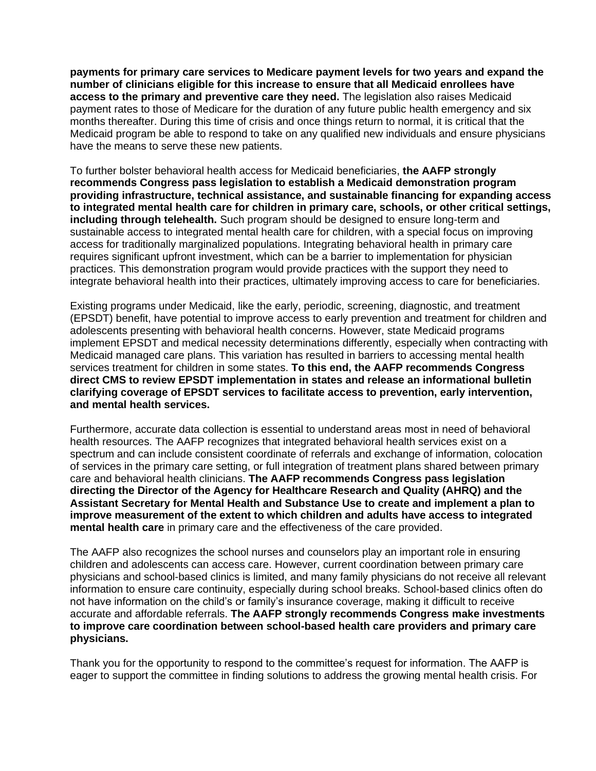**payments for primary care services to Medicare payment levels for two years and expand the number of clinicians eligible for this increase to ensure that all Medicaid enrollees have access to the primary and preventive care they need.** The legislation also raises Medicaid payment rates to those of Medicare for the duration of any future public health emergency and six months thereafter. During this time of crisis and once things return to normal, it is critical that the Medicaid program be able to respond to take on any qualified new individuals and ensure physicians have the means to serve these new patients.

To further bolster behavioral health access for Medicaid beneficiaries, **the AAFP strongly recommends Congress pass legislation to establish a Medicaid demonstration program providing infrastructure, technical assistance, and sustainable financing for expanding access to integrated mental health care for children in primary care, schools, or other critical settings, including through telehealth.** Such program should be designed to ensure long-term and sustainable access to integrated mental health care for children, with a special focus on improving access for traditionally marginalized populations. Integrating behavioral health in primary care requires significant upfront investment, which can be a barrier to implementation for physician practices. This demonstration program would provide practices with the support they need to integrate behavioral health into their practices, ultimately improving access to care for beneficiaries.

Existing programs under Medicaid, like the early, periodic, screening, diagnostic, and treatment (EPSDT) benefit, have potential to improve access to early prevention and treatment for children and adolescents presenting with behavioral health concerns. However, state Medicaid programs implement EPSDT and medical necessity determinations differently, especially when contracting with Medicaid managed care plans. This variation has resulted in barriers to accessing mental health services treatment for children in some states. **To this end, the AAFP recommends Congress direct CMS to review EPSDT implementation in states and release an informational bulletin clarifying coverage of EPSDT services to facilitate access to prevention, early intervention, and mental health services.**

Furthermore, accurate data collection is essential to understand areas most in need of behavioral health resources. The AAFP recognizes that integrated behavioral health services exist on a spectrum and can include consistent coordinate of referrals and exchange of information, colocation of services in the primary care setting, or full integration of treatment plans shared between primary care and behavioral health clinicians. **The AAFP recommends Congress pass legislation directing the Director of the Agency for Healthcare Research and Quality (AHRQ) and the Assistant Secretary for Mental Health and Substance Use to create and implement a plan to improve measurement of the extent to which children and adults have access to integrated mental health care** in primary care and the effectiveness of the care provided.

The AAFP also recognizes the school nurses and counselors play an important role in ensuring children and adolescents can access care. However, current coordination between primary care physicians and school-based clinics is limited, and many family physicians do not receive all relevant information to ensure care continuity, especially during school breaks. School-based clinics often do not have information on the child's or family's insurance coverage, making it difficult to receive accurate and affordable referrals. **The AAFP strongly recommends Congress make investments to improve care coordination between school-based health care providers and primary care physicians.**

Thank you for the opportunity to respond to the committee's request for information. The AAFP is eager to support the committee in finding solutions to address the growing mental health crisis. For